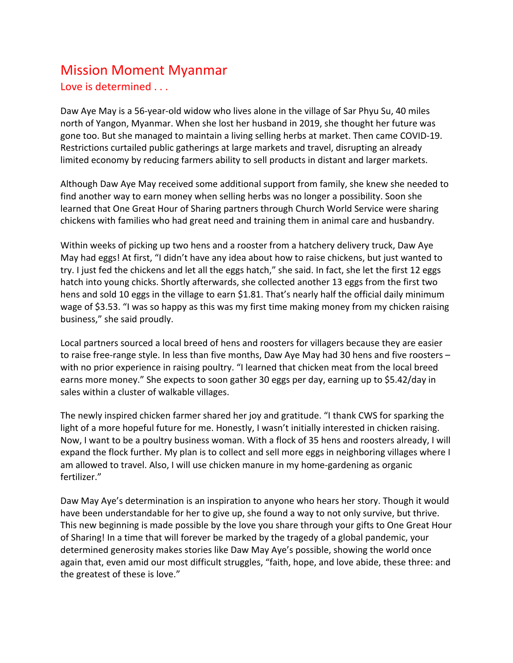## Mission Moment Myanmar Love is determined . . .

Daw Aye May is a 56-year-old widow who lives alone in the village of Sar Phyu Su, 40 miles north of Yangon, Myanmar. When she lost her husband in 2019, she thought her future was gone too. But she managed to maintain a living selling herbs at market. Then came COVID-19. Restrictions curtailed public gatherings at large markets and travel, disrupting an already limited economy by reducing farmers ability to sell products in distant and larger markets.

Although Daw Aye May received some additional support from family, she knew she needed to find another way to earn money when selling herbs was no longer a possibility. Soon she learned that One Great Hour of Sharing partners through Church World Service were sharing chickens with families who had great need and training them in animal care and husbandry.

Within weeks of picking up two hens and a rooster from a hatchery delivery truck, Daw Aye May had eggs! At first, "I didn't have any idea about how to raise chickens, but just wanted to try. I just fed the chickens and let all the eggs hatch," she said. In fact, she let the first 12 eggs hatch into young chicks. Shortly afterwards, she collected another 13 eggs from the first two hens and sold 10 eggs in the village to earn \$1.81. That's nearly half the official daily minimum wage of \$3.53. "I was so happy as this was my first time making money from my chicken raising business," she said proudly.

Local partners sourced a local breed of hens and roosters for villagers because they are easier to raise free-range style. In less than five months, Daw Aye May had 30 hens and five roosters – with no prior experience in raising poultry. "I learned that chicken meat from the local breed earns more money." She expects to soon gather 30 eggs per day, earning up to \$5.42/day in sales within a cluster of walkable villages.

The newly inspired chicken farmer shared her joy and gratitude. "I thank CWS for sparking the light of a more hopeful future for me. Honestly, I wasn't initially interested in chicken raising. Now, I want to be a poultry business woman. With a flock of 35 hens and roosters already, I will expand the flock further. My plan is to collect and sell more eggs in neighboring villages where I am allowed to travel. Also, I will use chicken manure in my home-gardening as organic fertilizer."

Daw May Aye's determination is an inspiration to anyone who hears her story. Though it would have been understandable for her to give up, she found a way to not only survive, but thrive. This new beginning is made possible by the love you share through your gifts to One Great Hour of Sharing! In a time that will forever be marked by the tragedy of a global pandemic, your determined generosity makes stories like Daw May Aye's possible, showing the world once again that, even amid our most difficult struggles, "faith, hope, and love abide, these three: and the greatest of these is love."